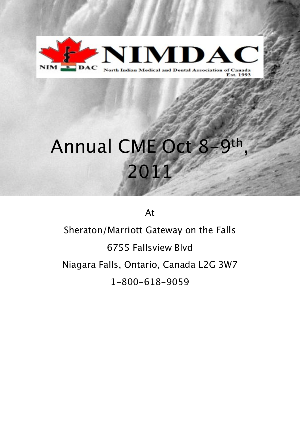

## Annual CME Oct 8-9th , 2011

At

Sheraton/Marriott Gateway on the Falls 6755 Fallsview Blvd Niagara Falls, Ontario, Canada L2G 3W7 1-800-618-9059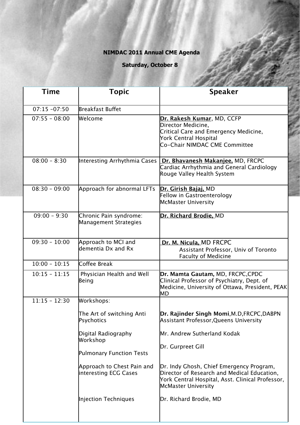## **NIMDAC 2011 Annual CME Agenda**

**Saturday, October 8**

| Time            | <b>Topic</b>                                        | <b>Speaker</b>                                                                                                                                                     |
|-----------------|-----------------------------------------------------|--------------------------------------------------------------------------------------------------------------------------------------------------------------------|
| $07:15 - 07:50$ | Breakfast Buffet                                    |                                                                                                                                                                    |
| $07:55 - 08:00$ | Welcome                                             | Dr. Rakesh Kumar, MD, CCFP<br>Director Medicine,<br>Critical Care and Emergency Medicine,<br>York Central Hospital<br>Co-Chair NIMDAC CME Committee                |
| $08:00 - 8:30$  | Interesting Arrhythmia Cases                        | Dr. Bhavanesh Makanjee, MD, FRCPC<br>Cardiac Arrhythmia and General Cardiology<br>Rouge Valley Health System                                                       |
| $08:30 - 09:00$ | Approach for abnormal LFTs                          | Dr. Girish Bajaj, MD<br>Fellow in Gastroenterology<br>McMaster University                                                                                          |
| $09:00 - 9:30$  | Chronic Pain syndrome:<br>Management Strategies     | Dr. Richard Brodie, MD                                                                                                                                             |
| $09:30 - 10:00$ | Approach to MCI and<br>dementia Dx and Rx           | Dr. M. Nicula, MD FRCPC<br>Assistant Professor, Univ of Toronto<br><b>Faculty of Medicine</b>                                                                      |
| $10:00 - 10:15$ | <b>Coffee Break</b>                                 |                                                                                                                                                                    |
| $10:15 - 11:15$ | Physician Health and Well<br>Being                  | Dr. Mamta Gautam, MD, FRCPC, CPDC<br>Clinical Professor of Psychiatry, Dept. of<br>Medicine, University of Ottawa, President, PEAK<br>MD                           |
| $11:15 - 12:30$ | Workshops:                                          |                                                                                                                                                                    |
|                 | The Art of switching Anti<br>Psychotics             | Dr. Rajinder Singh Momi,M.D,FRCPC,DABPN<br>Assistant Professor,Queens University                                                                                   |
|                 | Digital Radiography<br>Workshop                     | Mr. Andrew Sutherland Kodak                                                                                                                                        |
|                 | <b>Pulmonary Function Tests</b>                     | Dr. Gurpreet Gill                                                                                                                                                  |
|                 | Approach to Chest Pain and<br>interesting ECG Cases | Dr. Indy Ghosh, Chief Emergency Program,<br>Director of Research and Medical Education,<br>York Central Hospital, Asst. Clinical Professor,<br>McMaster University |
|                 | Injection Techniques                                | Dr. Richard Brodie, MD                                                                                                                                             |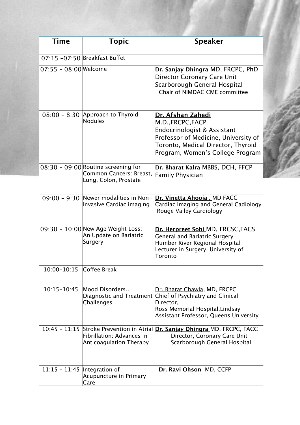| Time                         | <b>Topic</b>                                                                            | <b>Speaker</b>                                                                                                                                                                                 |
|------------------------------|-----------------------------------------------------------------------------------------|------------------------------------------------------------------------------------------------------------------------------------------------------------------------------------------------|
|                              | 07:15 -07:50 Breakfast Buffet                                                           |                                                                                                                                                                                                |
| $07:55 - 08:00$ Welcome      |                                                                                         | Dr. Sanjay Dhingra MD, FRCPC, PhD<br><b>Director Coronary Care Unit</b><br>Scarborough General Hospital<br>Chair of NIMDAC CME committee                                                       |
|                              | 08:00 - 8:30 Approach to Thyroid<br><b>Nodules</b>                                      | <u>Dr. Afshan Zahedi</u><br>M.D., FRCPC, FACP<br>Endocrinologist & Assistant<br>Professor of Medicine, University of<br>Toronto, Medical Director, Thyroid<br>Program, Women's College Program |
|                              | 08:30 - 09:00 Routine screening for<br>Common Cancers: Breast,<br>Lung, Colon, Prostate | Dr. Bharat Kalra MBBS, DCH, FFCP<br><b>Family Physician</b>                                                                                                                                    |
|                              | 09:00 - 9:30 Newer modalities in Non-<br>Invasive Cardiac imaging                       | Dr. Vinetta Ahooja , MD FACC<br>Cardiac Imaging and General Cadiology<br>Rouge Valley Cardiology                                                                                               |
|                              | 09:30 - 10:00 New Age Weight Loss:<br>An Update on Bariatric<br>Surgery                 | Dr. Herpreet Sohi MD, FRCSC, FACS<br><b>General and Bariatric Surgery</b><br>Humber River Regional Hospital<br>Lecturer in Surgery, University of<br>Toronto                                   |
| 10:00-10:15 Coffee Break     |                                                                                         |                                                                                                                                                                                                |
| $10:15 - 10:45$              | Mood Disorders<br>Challenges                                                            | Dr. Bharat Chawla, MD, FRCPC<br>Diagnostic and Treatment Chief of Psychiatry and Clinical<br>Director,<br>Ross Memorial Hospital, Lindsay<br>Assistant Professor, Queens University            |
|                              | Fibrillation: Advances in<br>Anticoagulation Therapy                                    | 10:45 - 11:15 Stroke Prevention in Atrial Dr. Sanjay Dhingra MD, FRCPC, FACC<br>Director, Coronary Care Unit<br>Scarborough General Hospital                                                   |
| 11:15 - 11:45 Integration of | Acupuncture in Primary<br>Care                                                          | Dr. Ravi Ohson MD, CCFP                                                                                                                                                                        |